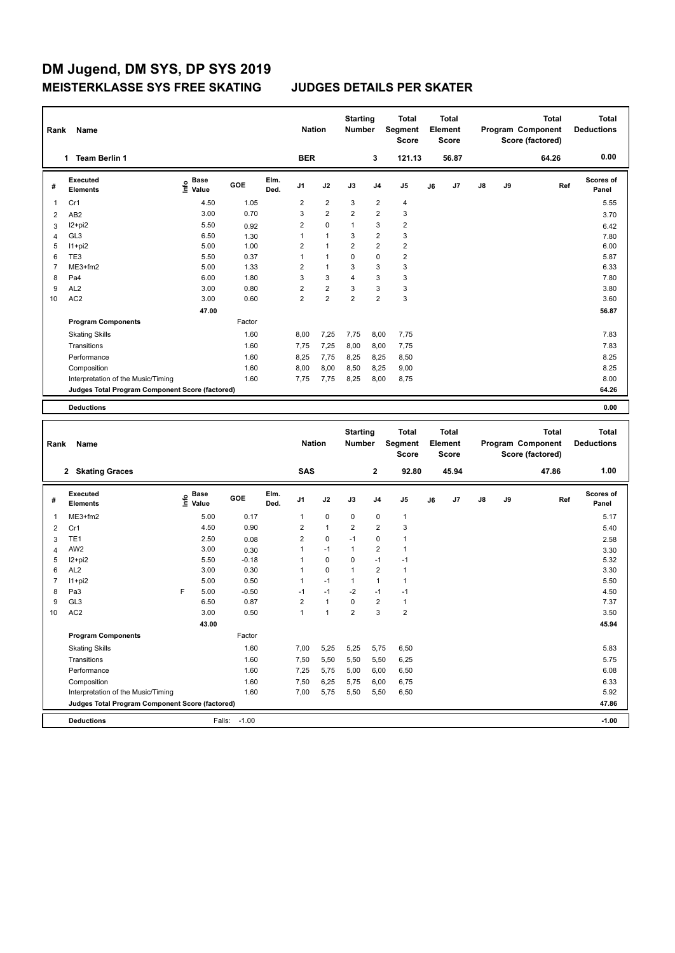## **DM Jugend, DM SYS, DP SYS 2019 MEISTERKLASSE SYS FREE SKATING JUDGES DETAILS PER SKATER**

| Rank           | Name                                            |                                           |              |              | <b>Nation</b>  |                         | <b>Starting</b><br><b>Number</b> |                         | Total<br>Segment<br>Score |    | Total<br>Element<br><b>Score</b> |    |    | <b>Total</b><br>Program Component<br>Score (factored) | <b>Total</b><br><b>Deductions</b> |
|----------------|-------------------------------------------------|-------------------------------------------|--------------|--------------|----------------|-------------------------|----------------------------------|-------------------------|---------------------------|----|----------------------------------|----|----|-------------------------------------------------------|-----------------------------------|
|                | 1 Team Berlin 1                                 |                                           |              |              | <b>BER</b>     |                         |                                  | 3                       | 121.13                    |    | 56.87                            |    |    | 64.26                                                 | 0.00                              |
| #              | <b>Executed</b><br><b>Elements</b>              | $\frac{6}{5}$ Base<br>$\frac{1}{5}$ Value | GOE          | Elm.<br>Ded. | J1             | J2                      | J3                               | J4                      | J5                        | J6 | J7                               | J8 | J9 | Ref                                                   | Scores of<br>Panel                |
| 1              | Cr1                                             | 4.50                                      | 1.05         |              | $\overline{2}$ | $\overline{2}$          | 3                                | $\overline{2}$          | 4                         |    |                                  |    |    |                                                       | 5.55                              |
| $\overline{2}$ | AB <sub>2</sub>                                 | 3.00                                      | 0.70         |              | 3              | $\overline{\mathbf{c}}$ | $\overline{\mathbf{c}}$          | $\overline{2}$          | 3                         |    |                                  |    |    |                                                       | 3.70                              |
| 3              | $12 + pi2$                                      | 5.50                                      | 0.92         |              | $\overline{2}$ | 0                       | 1                                | 3                       | $\overline{2}$            |    |                                  |    |    |                                                       | 6.42                              |
| 4              | GL <sub>3</sub>                                 | 6.50                                      | 1.30         |              | $\mathbf{1}$   | $\mathbf{1}$            | 3                                | $\overline{\mathbf{c}}$ | 3                         |    |                                  |    |    |                                                       | 7.80                              |
| 5              | $11+pi2$                                        | 5.00                                      | 1.00         |              | $\overline{2}$ | $\mathbf{1}$            | $\overline{2}$                   | $\overline{2}$          | 2                         |    |                                  |    |    |                                                       | 6.00                              |
| 6              | TE3                                             | 5.50                                      | 0.37         |              | $\mathbf{1}$   | $\mathbf{1}$            | 0                                | 0                       | 2                         |    |                                  |    |    |                                                       | 5.87                              |
| $\overline{7}$ | ME3+fm2                                         | 5.00                                      | 1.33         |              | $\overline{2}$ | $\mathbf{1}$            | 3                                | 3                       | 3                         |    |                                  |    |    |                                                       | 6.33                              |
| 8              | Pa4                                             | 6.00                                      | 1.80         |              | 3              | 3                       | 4                                | 3                       | 3                         |    |                                  |    |    |                                                       | 7.80                              |
| 9              | AL <sub>2</sub>                                 | 3.00                                      | 0.80         |              | $\overline{2}$ | $\overline{\mathbf{c}}$ | 3                                | 3                       | 3                         |    |                                  |    |    |                                                       | 3.80                              |
| 10             | AC <sub>2</sub>                                 | 3.00                                      | 0.60         |              | $\overline{2}$ | $\overline{c}$          | $\overline{2}$                   | $\overline{2}$          | 3                         |    |                                  |    |    |                                                       | 3.60                              |
|                |                                                 | 47.00                                     |              |              |                |                         |                                  |                         |                           |    |                                  |    |    |                                                       | 56.87                             |
|                | <b>Program Components</b>                       |                                           | Factor       |              |                |                         |                                  |                         |                           |    |                                  |    |    |                                                       |                                   |
|                | <b>Skating Skills</b>                           |                                           | 1.60         |              | 8,00           | 7,25                    | 7,75                             | 8,00                    | 7,75                      |    |                                  |    |    |                                                       | 7.83                              |
|                | Transitions                                     |                                           | 1.60         |              | 7,75           | 7,25                    | 8,00                             | 8,00                    | 7,75                      |    |                                  |    |    |                                                       | 7.83                              |
|                | Performance                                     |                                           | 1.60         |              | 8,25           | 7,75                    | 8,25                             | 8,25                    | 8,50                      |    |                                  |    |    |                                                       | 8.25                              |
|                | Composition                                     |                                           | 1.60         |              | 8,00           | 8,00                    | 8,50                             | 8,25                    | 9,00                      |    |                                  |    |    |                                                       | 8.25                              |
|                | Interpretation of the Music/Timing              |                                           | 1.60         |              | 7,75           | 7,75                    | 8,25                             | 8,00                    | 8,75                      |    |                                  |    |    |                                                       | 8.00                              |
|                | Judges Total Program Component Score (factored) |                                           |              |              |                |                         |                                  |                         |                           |    |                                  |    |    |                                                       | 64.26                             |
|                | <b>Deductions</b>                               |                                           |              |              |                |                         |                                  |                         |                           |    |                                  |    |    |                                                       | 0.00                              |
|                |                                                 |                                           |              |              |                |                         |                                  |                         |                           |    |                                  |    |    |                                                       |                                   |
|                |                                                 |                                           |              |              |                |                         |                                  |                         |                           |    |                                  |    |    |                                                       |                                   |
|                |                                                 |                                           |              |              |                |                         |                                  |                         |                           |    |                                  |    |    |                                                       |                                   |
|                |                                                 |                                           |              |              |                |                         | <b>Starting</b>                  |                         | Total                     |    | Total                            |    |    | <b>Total</b>                                          | <b>Total</b>                      |
| Rank           | Name                                            |                                           |              |              | <b>Nation</b>  |                         | Number                           |                         | Segment<br><b>Score</b>   |    | Element<br><b>Score</b>          |    |    | Program Component                                     | <b>Deductions</b>                 |
|                |                                                 |                                           |              |              |                |                         |                                  |                         |                           |    |                                  |    |    | Score (factored)                                      |                                   |
|                | 2 Skating Graces                                |                                           |              |              | <b>SAS</b>     |                         |                                  | $\mathbf{2}$            | 92.80                     |    | 45.94                            |    |    | 47.86                                                 | 1.00                              |
| #              | <b>Executed</b><br><b>Elements</b>              | e Base<br>⊆ Value                         | GOE          | Elm.<br>Ded. | J1             | J2                      | J3                               | J4                      | J5                        | J6 | J7                               | J8 | J9 | Ref                                                   | <b>Scores of</b><br>Panel         |
| 1              | ME3+fm2                                         | 5.00                                      | 0.17         |              | $\mathbf{1}$   | 0                       | 0                                | 0                       | $\mathbf{1}$              |    |                                  |    |    |                                                       | 5.17                              |
| 2              | Cr1                                             | 4.50                                      | 0.90         |              | $\overline{2}$ | $\mathbf{1}$            | $\overline{2}$                   | $\overline{\mathbf{c}}$ | 3                         |    |                                  |    |    |                                                       | 5.40                              |
| 3              | TE <sub>1</sub>                                 | 2.50                                      | 0.08         |              | $\overline{2}$ | 0                       | $-1$                             | 0                       | $\mathbf{1}$              |    |                                  |    |    |                                                       | 2.58                              |
| $\overline{4}$ | AW <sub>2</sub>                                 | 3.00                                      | 0.30         |              | $\mathbf{1}$   | $-1$                    | $\mathbf{1}$                     | $\overline{2}$          | $\mathbf{1}$              |    |                                  |    |    |                                                       | 3.30                              |
| 5              | I2+pi2                                          | 5.50                                      | $-0.18$      |              | 1              | 0                       | 0                                | $-1$                    | $-1$                      |    |                                  |    |    |                                                       | 5.32                              |
| 6              | AL <sub>2</sub>                                 | 3.00                                      | 0.30         |              | $\mathbf{1}$   | 0                       | $\mathbf{1}$                     | $\overline{2}$          | $\mathbf{1}$              |    |                                  |    |    |                                                       | 3.30                              |
| 7              | $11+pi2$                                        | 5.00                                      | 0.50         |              | 1              | $-1$                    | $\mathbf{1}$                     | 1                       | $\mathbf{1}$              |    |                                  |    |    |                                                       | 5.50                              |
| 8              | Pa3                                             | 5.00<br>F                                 | $-0.50$      |              | $-1$           | $-1$                    | $-2$                             | $-1$                    | $-1$                      |    |                                  |    |    |                                                       | 4.50                              |
| 9              | GL <sub>3</sub>                                 | 6.50                                      | 0.87         |              | $\overline{2}$ | $\mathbf{1}$            | $\mathbf 0$                      | $\overline{2}$          | $\mathbf{1}$              |    |                                  |    |    |                                                       | 7.37                              |
| 10             | AC <sub>2</sub>                                 | 3.00                                      | 0.50         |              | $\mathbf{1}$   | 1                       | 2                                | 3                       | 2                         |    |                                  |    |    |                                                       | 3.50                              |
|                |                                                 | 43.00                                     |              |              |                |                         |                                  |                         |                           |    |                                  |    |    |                                                       | 45.94                             |
|                | <b>Program Components</b>                       |                                           | Factor       |              |                |                         |                                  |                         |                           |    |                                  |    |    |                                                       |                                   |
|                | <b>Skating Skills</b>                           |                                           | 1.60         |              | 7,00           | 5,25                    | 5,25                             | 5,75                    | 6,50                      |    |                                  |    |    |                                                       | 5.83                              |
|                | Transitions                                     |                                           | 1.60         |              | 7,50           | 5,50                    | 5,50                             | 5,50                    | 6,25                      |    |                                  |    |    |                                                       | 5.75                              |
|                | Performance                                     |                                           | 1.60         |              | 7,25           | 5,75                    | 5,00                             | 6,00                    | 6,50                      |    |                                  |    |    |                                                       | 6.08                              |
|                | Composition                                     |                                           | 1.60         |              | 7,50           | 6,25                    | 5,75                             | 6,00                    | 6,75                      |    |                                  |    |    |                                                       | 6.33                              |
|                | Interpretation of the Music/Timing              |                                           | 1.60         |              | 7,00           | 5,75                    | 5,50                             | 5,50                    | 6,50                      |    |                                  |    |    |                                                       | 5.92                              |
|                | Judges Total Program Component Score (factored) |                                           |              |              |                |                         |                                  |                         |                           |    |                                  |    |    |                                                       | 47.86                             |
|                | <b>Deductions</b>                               |                                           | Falls: -1.00 |              |                |                         |                                  |                         |                           |    |                                  |    |    |                                                       | $-1.00$                           |